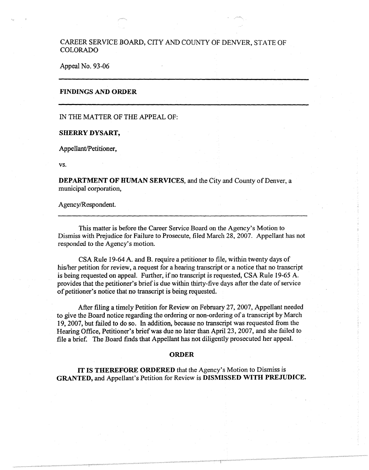# CAREER SERVICE BOARD, CITY AND COUNTY OF DENVER, STATE OF COLORADO

## Appeal No. 93-06

### **FINDINGS AND ORDER**

#### IN THE MATTER OF THE APPEAL OF:

#### **SHERRY DYSART,**

Appellant/Petitioner,

**vs.** 

**DEPARTMENT OF HUMAN SERVICES,** and the City and County of Denver, a municipal corporation,

Agency/Respondent.

This matter is before the Career Service Board on the Agency's Motion to Dismiss with Prejudice for Failure to Prosecute, filed March 28, 2007. Appellant has not responded to the Agency's motion.

CSA Rule 19-64 A. and B. require a petitioner to file, within twenty days of his/her petition for review, a request for a hearing transcript or a notice that no transcript is being requested on appeal. Further, if no transcript is requested, CSA Rule 19-65 A. provides that the petitioner's brief is due within thirty-five days after the date of service of petitioner's notice that no transcript is being requested.

After filing a timely Petition for Review on February 27, 2007, Appellant needed to give the Board notice regarding the ordering or non-ordering of a transcript by March 19, 2007, but failed to do so. In addition, because no transcript was requested from the Hearing Office, Petitioner's brief was due no later than April 23, 2007, and she failed to file a brief. The Board finds that Appellant has not diligently prosecuted her appeal.

#### **ORDER**

**IT IS THEREFORE ORDERED** that the Agency's Motion to Dismiss is **GRANTED,** and Appellant's Petition for Review is **DISMISSED WITH PREJUDICE.**